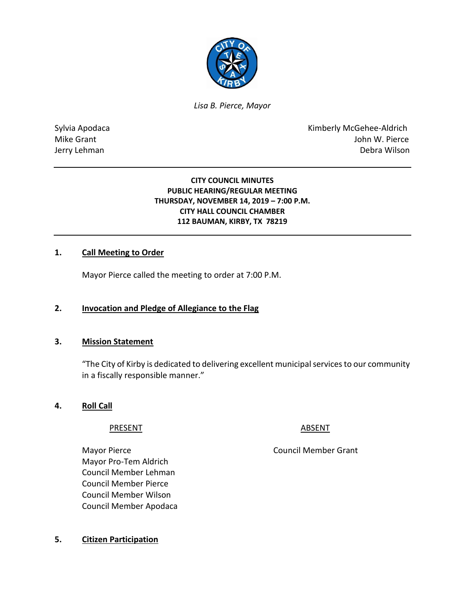

*Lisa B. Pierce, Mayor* 

Sylvia Apodaca National According Contract Contract Contract Contract Contract Contract Contract Contract Contract Contract Contract Contract Contract Contract Contract Contract Contract Contract Contract Contract Contract Mike Grant **Mike Grant** John W. Pierce Jerry Lehman Debra Wilson

### **CITY COUNCIL MINUTES PUBLIC HEARING/REGULAR MEETING THURSDAY, NOVEMBER 14, 2019 – 7:00 P.M. CITY HALL COUNCIL CHAMBER 112 BAUMAN, KIRBY, TX 78219**

## **1. Call Meeting to Order**

Mayor Pierce called the meeting to order at 7:00 P.M.

### **2. Invocation and Pledge of Allegiance to the Flag**

#### **3. Mission Statement**

"The City of Kirby is dedicated to delivering excellent municipal services to our community in a fiscally responsible manner."

### **4. Roll Call**

PRESENT ABSENT

Mayor Pierce **Council Member Grant** 

Mayor Pro-Tem Aldrich Council Member Lehman Council Member Pierce Council Member Wilson Council Member Apodaca

#### **5. Citizen Participation**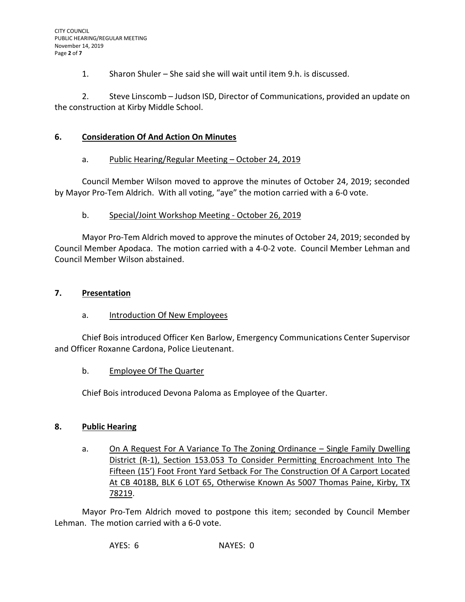1. Sharon Shuler – She said she will wait until item 9.h. is discussed.

2. Steve Linscomb – Judson ISD, Director of Communications, provided an update on the construction at Kirby Middle School.

## **6. Consideration Of And Action On Minutes**

## a. Public Hearing/Regular Meeting – October 24, 2019

Council Member Wilson moved to approve the minutes of October 24, 2019; seconded by Mayor Pro-Tem Aldrich. With all voting, "aye" the motion carried with a 6-0 vote.

## b. Special/Joint Workshop Meeting - October 26, 2019

Mayor Pro-Tem Aldrich moved to approve the minutes of October 24, 2019; seconded by Council Member Apodaca. The motion carried with a 4-0-2 vote. Council Member Lehman and Council Member Wilson abstained.

### **7. Presentation**

# a. Introduction Of New Employees

Chief Bois introduced Officer Ken Barlow, Emergency Communications Center Supervisor and Officer Roxanne Cardona, Police Lieutenant.

# b. Employee Of The Quarter

Chief Bois introduced Devona Paloma as Employee of the Quarter.

# **8. Public Hearing**

a. On A Request For A Variance To The Zoning Ordinance – Single Family Dwelling District (R-1), Section 153.053 To Consider Permitting Encroachment Into The Fifteen (15') Foot Front Yard Setback For The Construction Of A Carport Located At CB 4018B, BLK 6 LOT 65, Otherwise Known As 5007 Thomas Paine, Kirby, TX 78219.

Mayor Pro-Tem Aldrich moved to postpone this item; seconded by Council Member Lehman. The motion carried with a 6-0 vote.

AYES: 6 NAYES: 0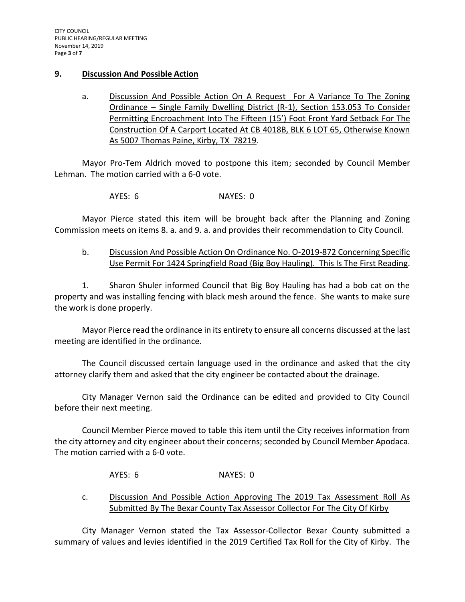#### **9. Discussion And Possible Action**

a. Discussion And Possible Action On A Request For A Variance To The Zoning Ordinance – Single Family Dwelling District (R-1), Section 153.053 To Consider Permitting Encroachment Into The Fifteen (15') Foot Front Yard Setback For The Construction Of A Carport Located At CB 4018B, BLK 6 LOT 65, Otherwise Known As 5007 Thomas Paine, Kirby, TX 78219.

Mayor Pro-Tem Aldrich moved to postpone this item; seconded by Council Member Lehman. The motion carried with a 6-0 vote.

AYES: 6 NAYES: 0

Mayor Pierce stated this item will be brought back after the Planning and Zoning Commission meets on items 8. a. and 9. a. and provides their recommendation to City Council.

## b. Discussion And Possible Action On Ordinance No. O-2019-872 Concerning Specific Use Permit For 1424 Springfield Road (Big Boy Hauling). This Is The First Reading.

1. Sharon Shuler informed Council that Big Boy Hauling has had a bob cat on the property and was installing fencing with black mesh around the fence. She wants to make sure the work is done properly.

Mayor Pierce read the ordinance in its entirety to ensure all concerns discussed at the last meeting are identified in the ordinance.

The Council discussed certain language used in the ordinance and asked that the city attorney clarify them and asked that the city engineer be contacted about the drainage.

City Manager Vernon said the Ordinance can be edited and provided to City Council before their next meeting.

Council Member Pierce moved to table this item until the City receives information from the city attorney and city engineer about their concerns; seconded by Council Member Apodaca. The motion carried with a 6-0 vote.

- AYES: 6 NAYES: 0
- c. Discussion And Possible Action Approving The 2019 Tax Assessment Roll As Submitted By The Bexar County Tax Assessor Collector For The City Of Kirby

City Manager Vernon stated the Tax Assessor-Collector Bexar County submitted a summary of values and levies identified in the 2019 Certified Tax Roll for the City of Kirby. The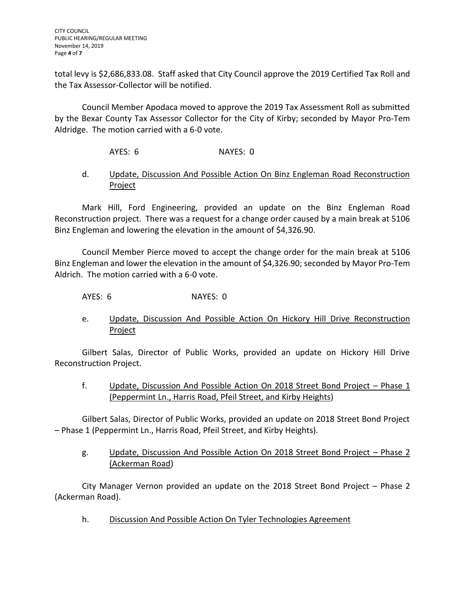total levy is \$2,686,833.08. Staff asked that City Council approve the 2019 Certified Tax Roll and the Tax Assessor-Collector will be notified.

Council Member Apodaca moved to approve the 2019 Tax Assessment Roll as submitted by the Bexar County Tax Assessor Collector for the City of Kirby; seconded by Mayor Pro-Tem Aldridge. The motion carried with a 6-0 vote.

AYES: 6 NAYES: 0

## d. Update, Discussion And Possible Action On Binz Engleman Road Reconstruction Project

Mark Hill, Ford Engineering, provided an update on the Binz Engleman Road Reconstruction project. There was a request for a change order caused by a main break at 5106 Binz Engleman and lowering the elevation in the amount of \$4,326.90.

Council Member Pierce moved to accept the change order for the main break at 5106 Binz Engleman and lower the elevation in the amount of \$4,326.90; seconded by Mayor Pro-Tem Aldrich. The motion carried with a 6-0 vote.

AYES: 6 NAYES: 0

e. Update, Discussion And Possible Action On Hickory Hill Drive Reconstruction **Project** 

Gilbert Salas, Director of Public Works, provided an update on Hickory Hill Drive Reconstruction Project.

f. Update, Discussion And Possible Action On 2018 Street Bond Project – Phase 1 (Peppermint Ln., Harris Road, Pfeil Street, and Kirby Heights)

Gilbert Salas, Director of Public Works, provided an update on 2018 Street Bond Project – Phase 1 (Peppermint Ln., Harris Road, Pfeil Street, and Kirby Heights).

g. Update, Discussion And Possible Action On 2018 Street Bond Project – Phase 2 (Ackerman Road)

City Manager Vernon provided an update on the 2018 Street Bond Project – Phase 2 (Ackerman Road).

h. Discussion And Possible Action On Tyler Technologies Agreement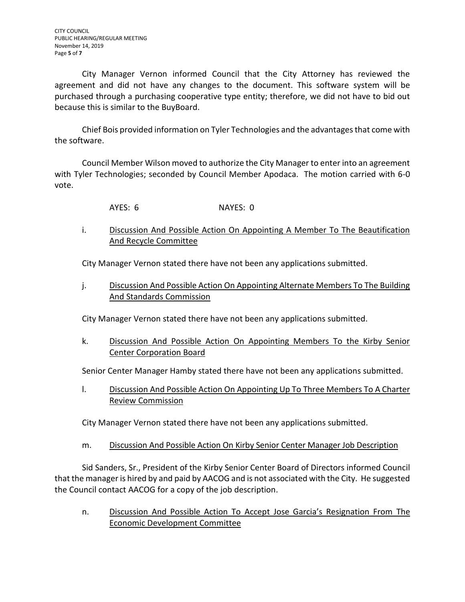City Manager Vernon informed Council that the City Attorney has reviewed the agreement and did not have any changes to the document. This software system will be purchased through a purchasing cooperative type entity; therefore, we did not have to bid out because this is similar to the BuyBoard.

Chief Bois provided information on Tyler Technologies and the advantagesthat come with the software.

Council Member Wilson moved to authorize the City Manager to enter into an agreement with Tyler Technologies; seconded by Council Member Apodaca. The motion carried with 6-0 vote.

AYES: 6 NAYES: 0

i. Discussion And Possible Action On Appointing A Member To The Beautification And Recycle Committee

City Manager Vernon stated there have not been any applications submitted.

j. Discussion And Possible Action On Appointing Alternate Members To The Building And Standards Commission

City Manager Vernon stated there have not been any applications submitted.

k. Discussion And Possible Action On Appointing Members To the Kirby Senior Center Corporation Board

Senior Center Manager Hamby stated there have not been any applications submitted.

l. Discussion And Possible Action On Appointing Up To Three Members To A Charter Review Commission

City Manager Vernon stated there have not been any applications submitted.

m. Discussion And Possible Action On Kirby Senior Center Manager Job Description

Sid Sanders, Sr., President of the Kirby Senior Center Board of Directors informed Council that the manager is hired by and paid by AACOG and is not associated with the City. He suggested the Council contact AACOG for a copy of the job description.

n. Discussion And Possible Action To Accept Jose Garcia's Resignation From The Economic Development Committee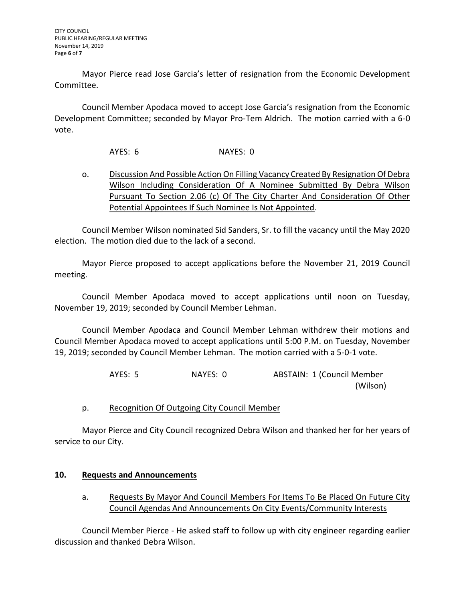Mayor Pierce read Jose Garcia's letter of resignation from the Economic Development Committee.

Council Member Apodaca moved to accept Jose Garcia's resignation from the Economic Development Committee; seconded by Mayor Pro-Tem Aldrich. The motion carried with a 6-0 vote.

AYES: 6 NAYES: 0

o. Discussion And Possible Action On Filling Vacancy Created By Resignation Of Debra Wilson Including Consideration Of A Nominee Submitted By Debra Wilson Pursuant To Section 2.06 (c) Of The City Charter And Consideration Of Other Potential Appointees If Such Nominee Is Not Appointed.

Council Member Wilson nominated Sid Sanders, Sr. to fill the vacancy until the May 2020 election. The motion died due to the lack of a second.

Mayor Pierce proposed to accept applications before the November 21, 2019 Council meeting.

Council Member Apodaca moved to accept applications until noon on Tuesday, November 19, 2019; seconded by Council Member Lehman.

Council Member Apodaca and Council Member Lehman withdrew their motions and Council Member Apodaca moved to accept applications until 5:00 P.M. on Tuesday, November 19, 2019; seconded by Council Member Lehman. The motion carried with a 5-0-1 vote.

> AYES: 5 NAYES: 0 ABSTAIN: 1 (Council Member (Wilson)

p. Recognition Of Outgoing City Council Member

Mayor Pierce and City Council recognized Debra Wilson and thanked her for her years of service to our City.

# **10. Requests and Announcements**

a. Requests By Mayor And Council Members For Items To Be Placed On Future City Council Agendas And Announcements On City Events/Community Interests

Council Member Pierce - He asked staff to follow up with city engineer regarding earlier discussion and thanked Debra Wilson.